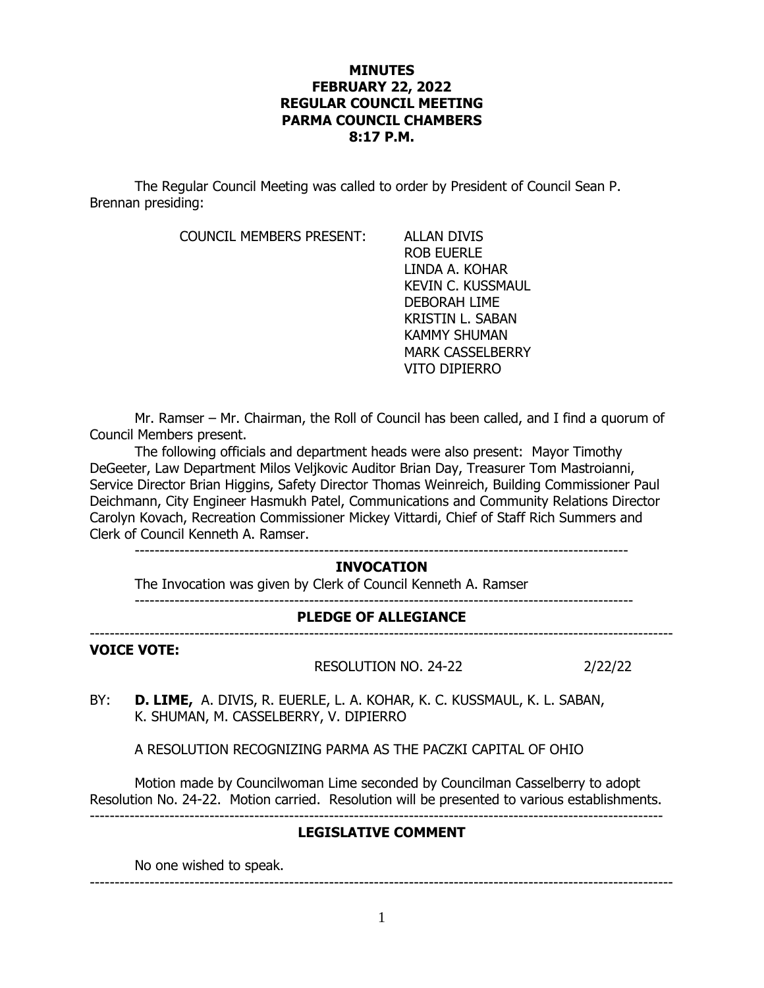### **MINUTES FEBRUARY 22, 2022 REGULAR COUNCIL MEETING PARMA COUNCIL CHAMBERS 8:17 P.M.**

The Regular Council Meeting was called to order by President of Council Sean P. Brennan presiding:

COUNCIL MEMBERS PRESENT: ALLAN DIVIS

ROB EUERLE LINDA A. KOHAR KEVIN C. KUSSMAUL DEBORAH LIME KRISTIN L. SABAN KAMMY SHUMAN MARK CASSELBERRY VITO DIPIERRO

Mr. Ramser – Mr. Chairman, the Roll of Council has been called, and I find a quorum of Council Members present.

The following officials and department heads were also present: Mayor Timothy DeGeeter, Law Department Milos Veljkovic Auditor Brian Day, Treasurer Tom Mastroianni, Service Director Brian Higgins, Safety Director Thomas Weinreich, Building Commissioner Paul Deichmann, City Engineer Hasmukh Patel, Communications and Community Relations Director Carolyn Kovach, Recreation Commissioner Mickey Vittardi, Chief of Staff Rich Summers and Clerk of Council Kenneth A. Ramser.

---------------------------------------------------------------------------------------------------

#### **INVOCATION**

The Invocation was given by Clerk of Council Kenneth A. Ramser

----------------------------------------------------------------------------------------------------

**PLEDGE OF ALLEGIANCE** ---------------------------------------------------------------------------------------------------------------------

**VOICE VOTE:**

RESOLUTION NO. 24-22 2/22/22

BY: **D. LIME,** A. DIVIS, R. EUERLE, L. A. KOHAR, K. C. KUSSMAUL, K. L. SABAN, K. SHUMAN, M. CASSELBERRY, V. DIPIERRO

A RESOLUTION RECOGNIZING PARMA AS THE PACZKI CAPITAL OF OHIO

Motion made by Councilwoman Lime seconded by Councilman Casselberry to adopt Resolution No. 24-22. Motion carried. Resolution will be presented to various establishments.  $-$ 

#### **LEGISLATIVE COMMENT**

---------------------------------------------------------------------------------------------------------------------

No one wished to speak.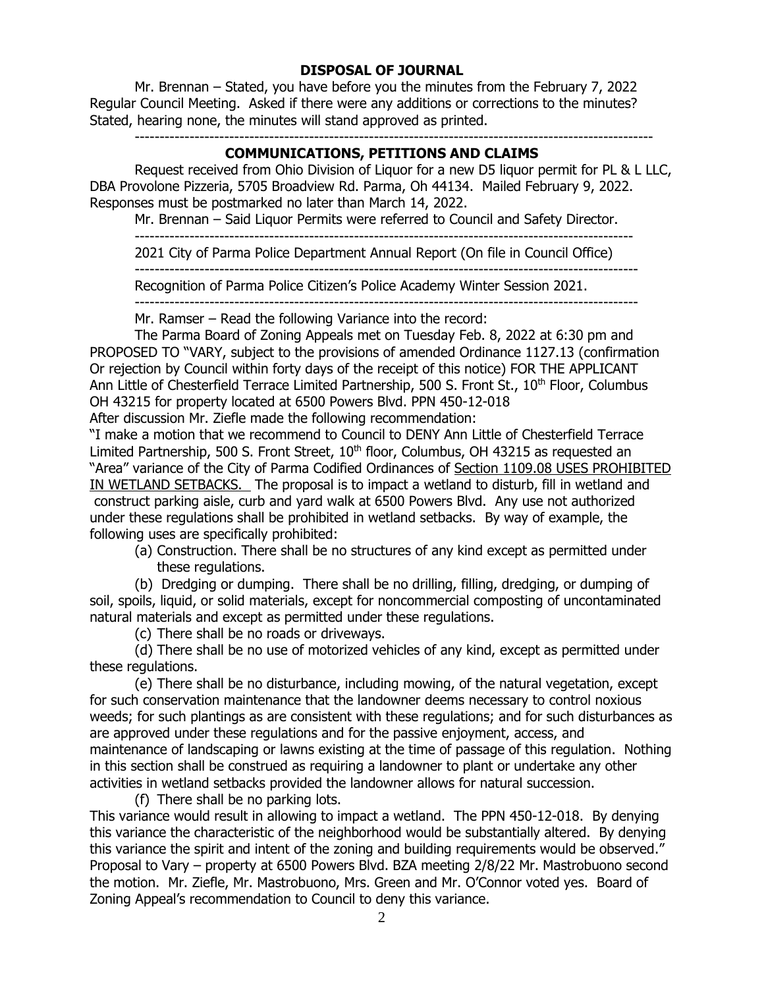## **DISPOSAL OF JOURNAL**

Mr. Brennan – Stated, you have before you the minutes from the February 7, 2022 Regular Council Meeting. Asked if there were any additions or corrections to the minutes? Stated, hearing none, the minutes will stand approved as printed.

--------------------------------------------------------------------------------------------------------

# **COMMUNICATIONS, PETITIONS AND CLAIMS**

Request received from Ohio Division of Liquor for a new D5 liquor permit for PL & L LLC, DBA Provolone Pizzeria, 5705 Broadview Rd. Parma, Oh 44134. Mailed February 9, 2022. Responses must be postmarked no later than March 14, 2022.

Mr. Brennan – Said Liquor Permits were referred to Council and Safety Director.

----------------------------------------------------------------------------------------------------

2021 City of Parma Police Department Annual Report (On file in Council Office)

----------------------------------------------------------------------------------------------------- Recognition of Parma Police Citizen's Police Academy Winter Session 2021.

-----------------------------------------------------------------------------------------------------

Mr. Ramser – Read the following Variance into the record:

The Parma Board of Zoning Appeals met on Tuesday Feb. 8, 2022 at 6:30 pm and PROPOSED TO "VARY, subject to the provisions of amended Ordinance 1127.13 (confirmation Or rejection by Council within forty days of the receipt of this notice) FOR THE APPLICANT Ann Little of Chesterfield Terrace Limited Partnership, 500 S. Front St., 10<sup>th</sup> Floor, Columbus OH 43215 for property located at 6500 Powers Blvd. PPN 450-12-018

After discussion Mr. Ziefle made the following recommendation:

"I make a motion that we recommend to Council to DENY Ann Little of Chesterfield Terrace Limited Partnership, 500 S. Front Street, 10<sup>th</sup> floor, Columbus, OH 43215 as requested an "Area" variance of the City of Parma Codified Ordinances of Section 1109.08 USES PROHIBITED IN WETLAND SETBACKS. The proposal is to impact a wetland to disturb, fill in wetland and construct parking aisle, curb and yard walk at 6500 Powers Blvd. Any use not authorized under these regulations shall be prohibited in wetland setbacks. By way of example, the following uses are specifically prohibited:

(a) Construction. There shall be no structures of any kind except as permitted under these regulations.

(b) Dredging or dumping. There shall be no drilling, filling, dredging, or dumping of soil, spoils, liquid, or solid materials, except for noncommercial composting of uncontaminated natural materials and except as permitted under these regulations.

(c) There shall be no roads or driveways.

(d) There shall be no use of motorized vehicles of any kind, except as permitted under these regulations.

(e) There shall be no disturbance, including mowing, of the natural vegetation, except for such conservation maintenance that the landowner deems necessary to control noxious weeds; for such plantings as are consistent with these regulations; and for such disturbances as are approved under these regulations and for the passive enjoyment, access, and maintenance of landscaping or lawns existing at the time of passage of this regulation. Nothing in this section shall be construed as requiring a landowner to plant or undertake any other activities in wetland setbacks provided the landowner allows for natural succession.

(f) There shall be no parking lots.

This variance would result in allowing to impact a wetland. The PPN 450-12-018. By denying this variance the characteristic of the neighborhood would be substantially altered. By denying this variance the spirit and intent of the zoning and building requirements would be observed." Proposal to Vary – property at 6500 Powers Blvd. BZA meeting 2/8/22 Mr. Mastrobuono second the motion. Mr. Ziefle, Mr. Mastrobuono, Mrs. Green and Mr. O'Connor voted yes. Board of Zoning Appeal's recommendation to Council to deny this variance.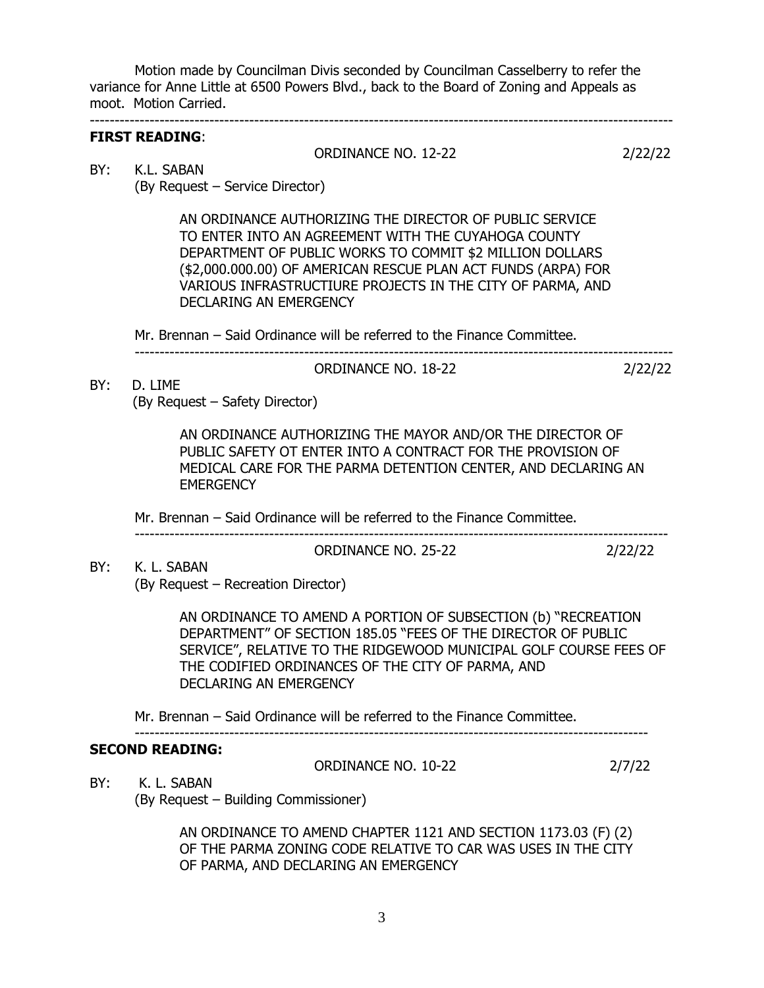Motion made by Councilman Divis seconded by Councilman Casselberry to refer the variance for Anne Little at 6500 Powers Blvd., back to the Board of Zoning and Appeals as moot. Motion Carried. ---------------------------------------------------------------------------------------------------------------------

#### **FIRST READING**:

ORDINANCE NO. 12-22 20 2/22/22

 $2/22/22$ 

BY: K.L. SABAN

(By Request – Service Director)

AN ORDINANCE AUTHORIZING THE DIRECTOR OF PUBLIC SERVICE TO ENTER INTO AN AGREEMENT WITH THE CUYAHOGA COUNTY DEPARTMENT OF PUBLIC WORKS TO COMMIT \$2 MILLION DOLLARS (\$2,000.000.00) OF AMERICAN RESCUE PLAN ACT FUNDS (ARPA) FOR VARIOUS INFRASTRUCTIURE PROJECTS IN THE CITY OF PARMA, AND DECLARING AN EMERGENCY

------------------------------------------------------------------------------------------------------------

Mr. Brennan – Said Ordinance will be referred to the Finance Committee.

| ORDINANCE NO. 18-22 |  |
|---------------------|--|
|                     |  |

BY: D. LIME

(By Request – Safety Director)

 AN ORDINANCE AUTHORIZING THE MAYOR AND/OR THE DIRECTOR OF PUBLIC SAFETY OT ENTER INTO A CONTRACT FOR THE PROVISION OF MEDICAL CARE FOR THE PARMA DETENTION CENTER, AND DECLARING AN **EMERGENCY** 

-----------------------------------------------------------------------------------------------------------

Mr. Brennan – Said Ordinance will be referred to the Finance Committee.

ORDINANCE NO. 25-22 2/22/22

BY: K. L. SABAN (By Request – Recreation Director)

> AN ORDINANCE TO AMEND A PORTION OF SUBSECTION (b) "RECREATION DEPARTMENT" OF SECTION 185.05 "FEES OF THE DIRECTOR OF PUBLIC SERVICE", RELATIVE TO THE RIDGEWOOD MUNICIPAL GOLF COURSE FEES OF THE CODIFIED ORDINANCES OF THE CITY OF PARMA, AND DECLARING AN EMERGENCY

Mr. Brennan – Said Ordinance will be referred to the Finance Committee.

-------------------------------------------------------------------------------------------------------

#### **SECOND READING:**

ORDINANCE NO. 10-22 2/7/22

BY: K. L. SABAN

(By Request – Building Commissioner)

AN ORDINANCE TO AMEND CHAPTER 1121 AND SECTION 1173.03 (F) (2) OF THE PARMA ZONING CODE RELATIVE TO CAR WAS USES IN THE CITY OF PARMA, AND DECLARING AN EMERGENCY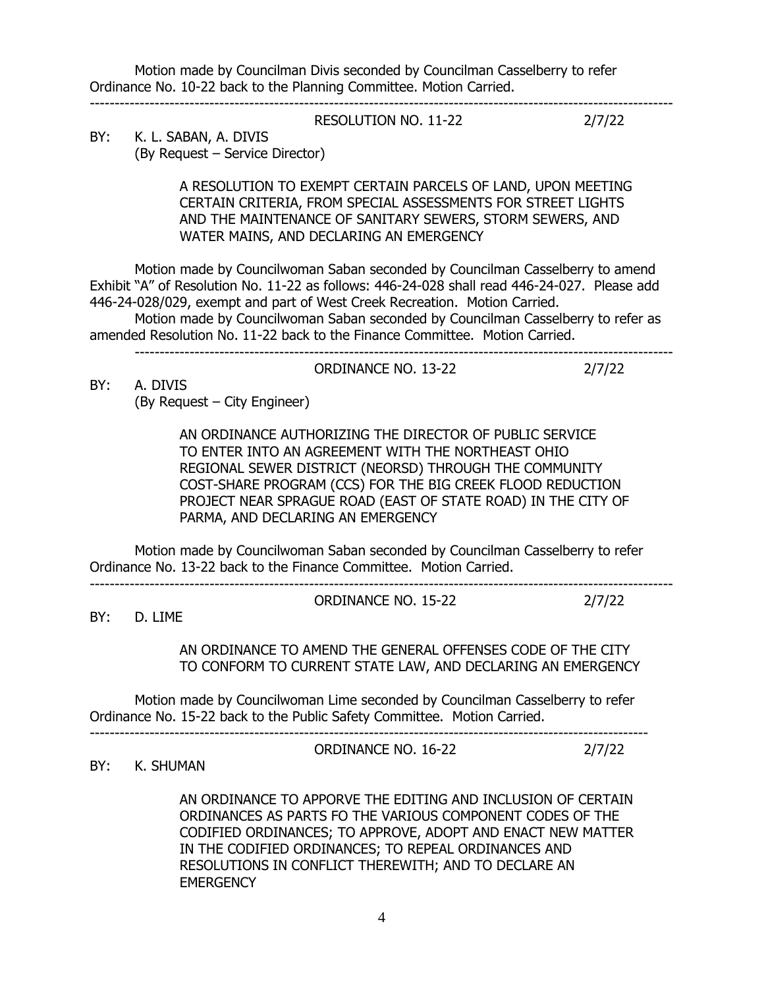Motion made by Councilman Divis seconded by Councilman Casselberry to refer Ordinance No. 10-22 back to the Planning Committee. Motion Carried.

---------------------------------------------------------------------------------------------------------------------

RESOLUTION NO. 11-22 2/7/22

BY: K. L. SABAN, A. DIVIS (By Request – Service Director)

> A RESOLUTION TO EXEMPT CERTAIN PARCELS OF LAND, UPON MEETING CERTAIN CRITERIA, FROM SPECIAL ASSESSMENTS FOR STREET LIGHTS AND THE MAINTENANCE OF SANITARY SEWERS, STORM SEWERS, AND WATER MAINS, AND DECLARING AN EMERGENCY

Motion made by Councilwoman Saban seconded by Councilman Casselberry to amend Exhibit "A" of Resolution No. 11-22 as follows: 446-24-028 shall read 446-24-027. Please add 446-24-028/029, exempt and part of West Creek Recreation. Motion Carried.

Motion made by Councilwoman Saban seconded by Councilman Casselberry to refer as amended Resolution No. 11-22 back to the Finance Committee. Motion Carried.

------------------------------------------------------------------------------------------------------------ ORDINANCE NO. 13-22 2/7/22

BY: A. DIVIS (By Request – City Engineer)

> AN ORDINANCE AUTHORIZING THE DIRECTOR OF PUBLIC SERVICE TO ENTER INTO AN AGREEMENT WITH THE NORTHEAST OHIO REGIONAL SEWER DISTRICT (NEORSD) THROUGH THE COMMUNITY COST-SHARE PROGRAM (CCS) FOR THE BIG CREEK FLOOD REDUCTION PROJECT NEAR SPRAGUE ROAD (EAST OF STATE ROAD) IN THE CITY OF PARMA, AND DECLARING AN EMERGENCY

Motion made by Councilwoman Saban seconded by Councilman Casselberry to refer Ordinance No. 13-22 back to the Finance Committee. Motion Carried.

---------------------------------------------------------------------------------------------------------------------

ORDINANCE NO. 15-22 2/7/22

BY: D. LIME

AN ORDINANCE TO AMEND THE GENERAL OFFENSES CODE OF THE CITY TO CONFORM TO CURRENT STATE LAW, AND DECLARING AN EMERGENCY

Motion made by Councilwoman Lime seconded by Councilman Casselberry to refer Ordinance No. 15-22 back to the Public Safety Committee. Motion Carried.

----------------------------------------------------------------------------------------------------------------

ORDINANCE NO. 16-22 2/7/22

#### BY: K. SHUMAN

AN ORDINANCE TO APPORVE THE EDITING AND INCLUSION OF CERTAIN ORDINANCES AS PARTS FO THE VARIOUS COMPONENT CODES OF THE CODIFIED ORDINANCES; TO APPROVE, ADOPT AND ENACT NEW MATTER IN THE CODIFIED ORDINANCES; TO REPEAL ORDINANCES AND RESOLUTIONS IN CONFLICT THEREWITH; AND TO DECLARE AN **EMERGENCY**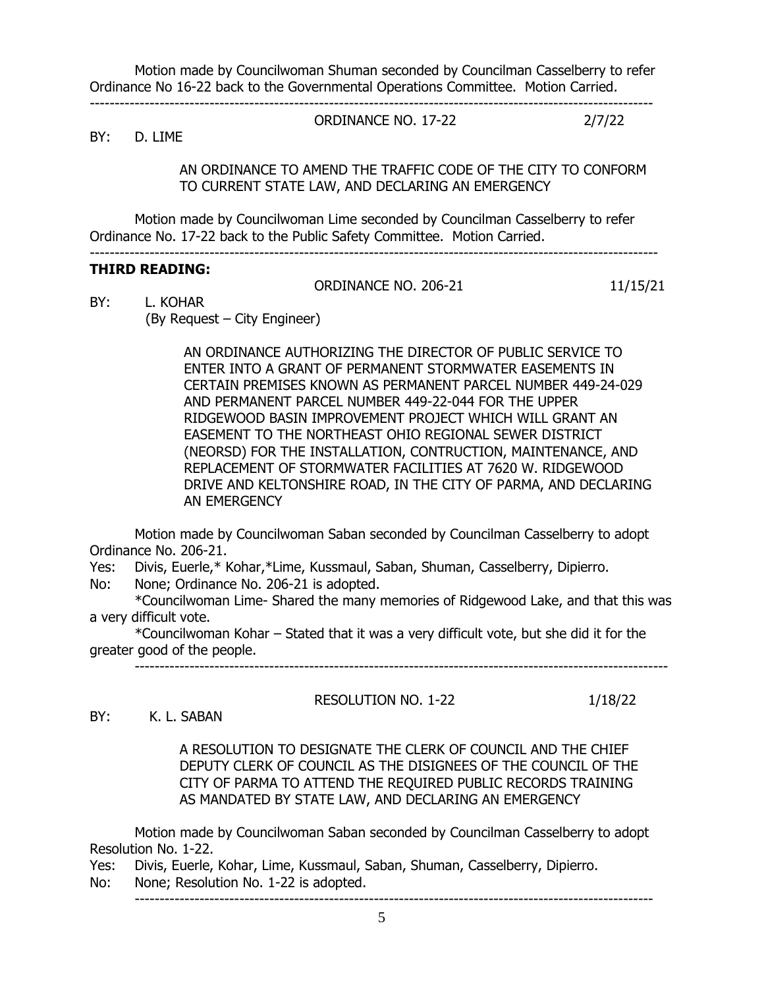Motion made by Councilwoman Shuman seconded by Councilman Casselberry to refer Ordinance No 16-22 back to the Governmental Operations Committee. Motion Carried. -----------------------------------------------------------------------------------------------------------------

ORDINANCE NO. 17-22 2/7/22

BY: D. LIME

AN ORDINANCE TO AMEND THE TRAFFIC CODE OF THE CITY TO CONFORM TO CURRENT STATE LAW, AND DECLARING AN EMERGENCY

Motion made by Councilwoman Lime seconded by Councilman Casselberry to refer Ordinance No. 17-22 back to the Public Safety Committee. Motion Carried.

------------------------------------------------------------------------------------------------------------------

### **THIRD READING:**

ORDINANCE NO. 206-21 11/15/21

BY: L. KOHAR

(By Request – City Engineer)

AN ORDINANCE AUTHORIZING THE DIRECTOR OF PUBLIC SERVICE TO ENTER INTO A GRANT OF PERMANENT STORMWATER EASEMENTS IN CERTAIN PREMISES KNOWN AS PERMANENT PARCEL NUMBER 449-24-029 AND PERMANENT PARCEL NUMBER 449-22-044 FOR THE UPPER RIDGEWOOD BASIN IMPROVEMENT PROJECT WHICH WILL GRANT AN EASEMENT TO THE NORTHEAST OHIO REGIONAL SEWER DISTRICT (NEORSD) FOR THE INSTALLATION, CONTRUCTION, MAINTENANCE, AND REPLACEMENT OF STORMWATER FACILITIES AT 7620 W. RIDGEWOOD DRIVE AND KELTONSHIRE ROAD, IN THE CITY OF PARMA, AND DECLARING AN EMERGENCY

Motion made by Councilwoman Saban seconded by Councilman Casselberry to adopt Ordinance No. 206-21.

Yes: Divis, Euerle,\* Kohar,\*Lime, Kussmaul, Saban, Shuman, Casselberry, Dipierro.

No: None; Ordinance No. 206-21 is adopted.

\*Councilwoman Lime- Shared the many memories of Ridgewood Lake, and that this was a very difficult vote.

\*Councilwoman Kohar – Stated that it was a very difficult vote, but she did it for the greater good of the people.

-----------------------------------------------------------------------------------------------------------

BY: K. L. SABAN

 A RESOLUTION TO DESIGNATE THE CLERK OF COUNCIL AND THE CHIEF DEPUTY CLERK OF COUNCIL AS THE DISIGNEES OF THE COUNCIL OF THE CITY OF PARMA TO ATTEND THE REQUIRED PUBLIC RECORDS TRAINING AS MANDATED BY STATE LAW, AND DECLARING AN EMERGENCY

RESOLUTION NO. 1-22 1/18/22

Motion made by Councilwoman Saban seconded by Councilman Casselberry to adopt Resolution No. 1-22.

Yes: Divis, Euerle, Kohar, Lime, Kussmaul, Saban, Shuman, Casselberry, Dipierro.

No: None; Resolution No. 1-22 is adopted. --------------------------------------------------------------------------------------------------------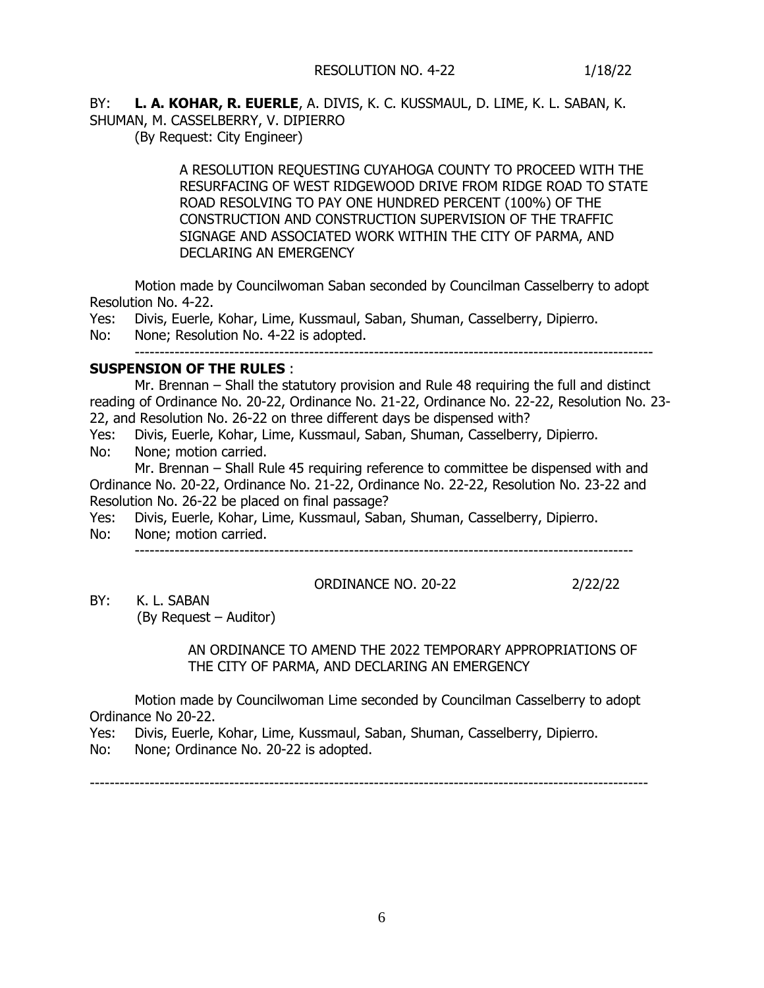BY: **L. A. KOHAR, R. EUERLE**, A. DIVIS, K. C. KUSSMAUL, D. LIME, K. L. SABAN, K. SHUMAN, M. CASSELBERRY, V. DIPIERRO

(By Request: City Engineer)

A RESOLUTION REQUESTING CUYAHOGA COUNTY TO PROCEED WITH THE RESURFACING OF WEST RIDGEWOOD DRIVE FROM RIDGE ROAD TO STATE ROAD RESOLVING TO PAY ONE HUNDRED PERCENT (100%) OF THE CONSTRUCTION AND CONSTRUCTION SUPERVISION OF THE TRAFFIC SIGNAGE AND ASSOCIATED WORK WITHIN THE CITY OF PARMA, AND DECLARING AN EMERGENCY

Motion made by Councilwoman Saban seconded by Councilman Casselberry to adopt Resolution No. 4-22.

Yes: Divis, Euerle, Kohar, Lime, Kussmaul, Saban, Shuman, Casselberry, Dipierro.

No: None; Resolution No. 4-22 is adopted.

--------------------------------------------------------------------------------------------------------

### **SUSPENSION OF THE RULES** :

Mr. Brennan – Shall the statutory provision and Rule 48 requiring the full and distinct reading of Ordinance No. 20-22, Ordinance No. 21-22, Ordinance No. 22-22, Resolution No. 23- 22, and Resolution No. 26-22 on three different days be dispensed with?

Yes: Divis, Euerle, Kohar, Lime, Kussmaul, Saban, Shuman, Casselberry, Dipierro. No: None; motion carried.

Mr. Brennan – Shall Rule 45 requiring reference to committee be dispensed with and Ordinance No. 20-22, Ordinance No. 21-22, Ordinance No. 22-22, Resolution No. 23-22 and Resolution No. 26-22 be placed on final passage?

Yes: Divis, Euerle, Kohar, Lime, Kussmaul, Saban, Shuman, Casselberry, Dipierro. No: None; motion carried.

----------------------------------------------------------------------------------------------------

BY: K. L. SABAN

(By Request – Auditor)

 AN ORDINANCE TO AMEND THE 2022 TEMPORARY APPROPRIATIONS OF THE CITY OF PARMA, AND DECLARING AN EMERGENCY

ORDINANCE NO. 20-22 2/22/22

Motion made by Councilwoman Lime seconded by Councilman Casselberry to adopt Ordinance No 20-22.

Yes: Divis, Euerle, Kohar, Lime, Kussmaul, Saban, Shuman, Casselberry, Dipierro.

No: None; Ordinance No. 20-22 is adopted.

----------------------------------------------------------------------------------------------------------------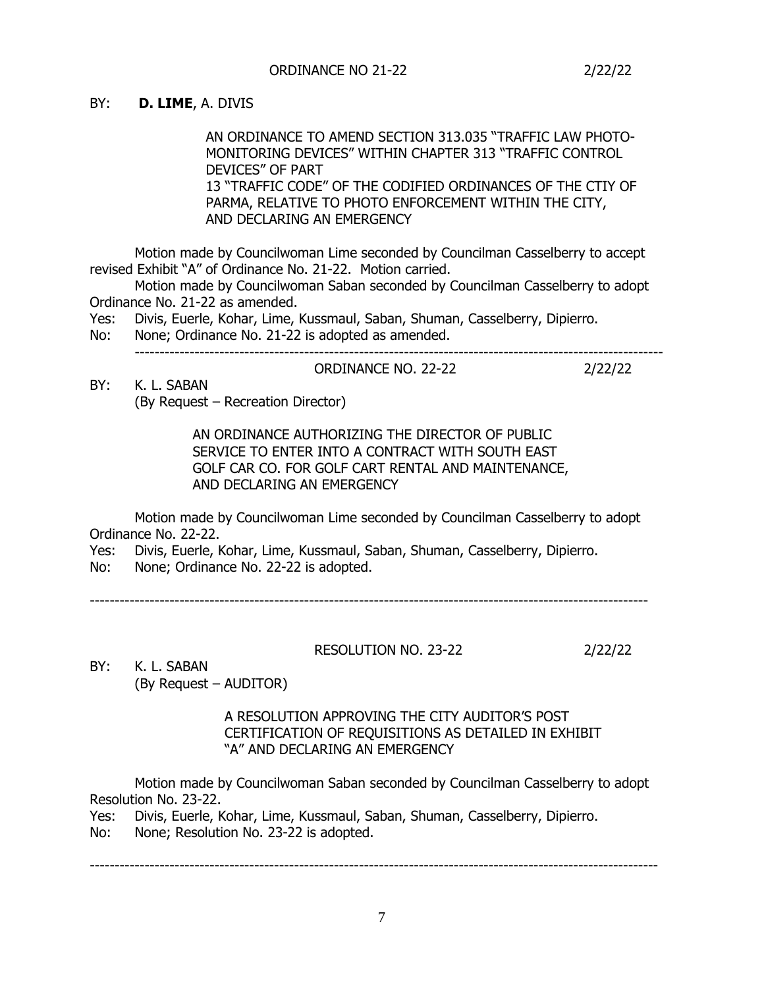## BY: **D. LIME**, A. DIVIS

AN ORDINANCE TO AMEND SECTION 313.035 "TRAFFIC LAW PHOTO-MONITORING DEVICES" WITHIN CHAPTER 313 "TRAFFIC CONTROL DEVICES" OF PART 13 "TRAFFIC CODE" OF THE CODIFIED ORDINANCES OF THE CTIY OF PARMA, RELATIVE TO PHOTO ENFORCEMENT WITHIN THE CITY, AND DECLARING AN EMERGENCY

Motion made by Councilwoman Lime seconded by Councilman Casselberry to accept revised Exhibit "A" of Ordinance No. 21-22. Motion carried.

Motion made by Councilwoman Saban seconded by Councilman Casselberry to adopt Ordinance No. 21-22 as amended.

- Yes: Divis, Euerle, Kohar, Lime, Kussmaul, Saban, Shuman, Casselberry, Dipierro.
- No: None; Ordinance No. 21-22 is adopted as amended. ----------------------------------------------------------------------------------------------------------

#### ORDINANCE NO. 22-22 20 2/22/22

BY: K. L. SABAN (By Request – Recreation Director)

> AN ORDINANCE AUTHORIZING THE DIRECTOR OF PUBLIC SERVICE TO ENTER INTO A CONTRACT WITH SOUTH EAST GOLF CAR CO. FOR GOLF CART RENTAL AND MAINTENANCE, AND DECLARING AN EMERGENCY

Motion made by Councilwoman Lime seconded by Councilman Casselberry to adopt Ordinance No. 22-22.

- Yes: Divis, Euerle, Kohar, Lime, Kussmaul, Saban, Shuman, Casselberry, Dipierro.
- No: None; Ordinance No. 22-22 is adopted.

----------------------------------------------------------------------------------------------------------------

RESOLUTION NO. 23-22 20 2/22/22

BY: K. L. SABAN (By Request – AUDITOR)

> A RESOLUTION APPROVING THE CITY AUDITOR'S POST CERTIFICATION OF REQUISITIONS AS DETAILED IN EXHIBIT "A" AND DECLARING AN EMERGENCY

Motion made by Councilwoman Saban seconded by Councilman Casselberry to adopt Resolution No. 23-22.

Yes: Divis, Euerle, Kohar, Lime, Kussmaul, Saban, Shuman, Casselberry, Dipierro.

No: None; Resolution No. 23-22 is adopted.

#### ------------------------------------------------------------------------------------------------------------------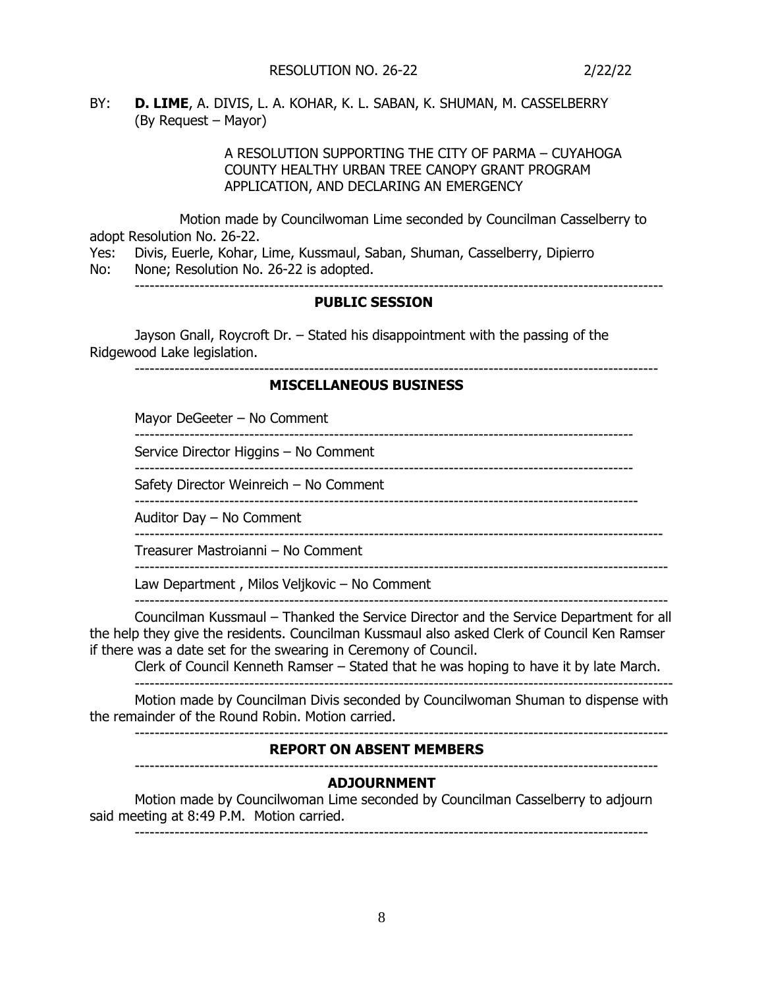## BY: **D. LIME**, A. DIVIS, L. A. KOHAR, K. L. SABAN, K. SHUMAN, M. CASSELBERRY (By Request – Mayor)

A RESOLUTION SUPPORTING THE CITY OF PARMA – CUYAHOGA COUNTY HEALTHY URBAN TREE CANOPY GRANT PROGRAM APPLICATION, AND DECLARING AN EMERGENCY

Motion made by Councilwoman Lime seconded by Councilman Casselberry to adopt Resolution No. 26-22.

Yes: Divis, Euerle, Kohar, Lime, Kussmaul, Saban, Shuman, Casselberry, Dipierro No: None; Resolution No. 26-22 is adopted.

----------------------------------------------------------------------------------------------------------

#### **PUBLIC SESSION**

Jayson Gnall, Roycroft Dr. – Stated his disappointment with the passing of the Ridgewood Lake legislation. ---------------------------------------------------------------------------------------------------------

#### **MISCELLANEOUS BUSINESS**

Mayor DeGeeter – No Comment

----------------------------------------------------------------------------------------------------

Service Director Higgins – No Comment

---------------------------------------------------------------------------------------------------- Safety Director Weinreich – No Comment

-----------------------------------------------------------------------------------------------------

Auditor Day – No Comment ----------------------------------------------------------------------------------------------------------

Treasurer Mastroianni – No Comment

-----------------------------------------------------------------------------------------------------------

Law Department , Milos Veljkovic – No Comment

-----------------------------------------------------------------------------------------------------------

Councilman Kussmaul – Thanked the Service Director and the Service Department for all the help they give the residents. Councilman Kussmaul also asked Clerk of Council Ken Ramser if there was a date set for the swearing in Ceremony of Council.

Clerk of Council Kenneth Ramser – Stated that he was hoping to have it by late March.

------------------------------------------------------------------------------------------------------------

Motion made by Councilman Divis seconded by Councilwoman Shuman to dispense with the remainder of the Round Robin. Motion carried.

-----------------------------------------------------------------------------------------------------------

**REPORT ON ABSENT MEMBERS** ---------------------------------------------------------------------------------------------------------

## **ADJOURNMENT**

Motion made by Councilwoman Lime seconded by Councilman Casselberry to adjourn said meeting at 8:49 P.M. Motion carried.

-------------------------------------------------------------------------------------------------------